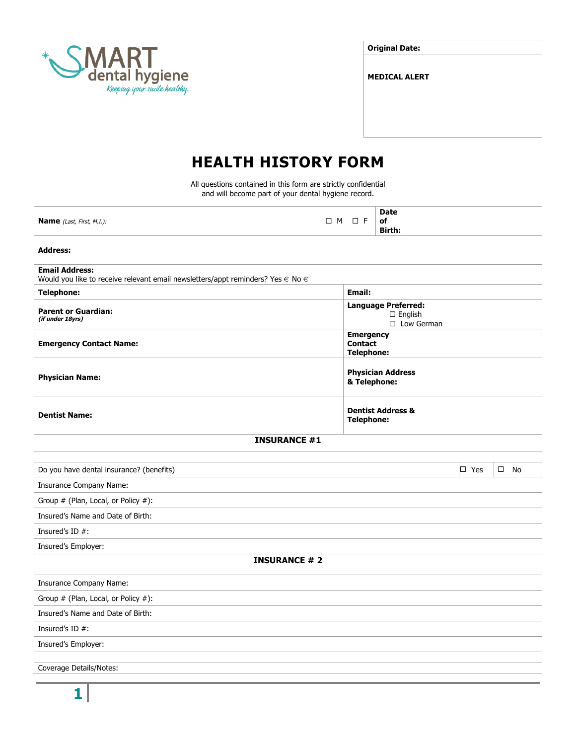

| <b>Original Date:</b> |  |
|-----------------------|--|
|-----------------------|--|

**MEDICAL ALERT**

# **HEALTH HISTORY FORM**

All questions contained in this form are strictly confidential and will become part of your dental hygiene record.

| <b>Name</b> (Last, First, M.I.):                                                                                 | □ M □ F |                                                         | <b>Date</b><br>of<br><b>Birth:</b>                              |               |              |
|------------------------------------------------------------------------------------------------------------------|---------|---------------------------------------------------------|-----------------------------------------------------------------|---------------|--------------|
| <b>Address:</b>                                                                                                  |         |                                                         |                                                                 |               |              |
| <b>Email Address:</b><br>Would you like to receive relevant email newsletters/appt reminders? Yes $\in$ No $\in$ |         |                                                         |                                                                 |               |              |
| <b>Telephone:</b>                                                                                                |         | Email:                                                  |                                                                 |               |              |
| <b>Parent or Guardian:</b><br>(if under 18yrs)                                                                   |         |                                                         | <b>Language Preferred:</b><br>$\square$ English<br>□ Low German |               |              |
| <b>Emergency Contact Name:</b>                                                                                   |         | <b>Emergency</b><br><b>Contact</b><br><b>Telephone:</b> |                                                                 |               |              |
| <b>Physician Name:</b>                                                                                           |         | & Telephone:                                            | <b>Physician Address</b>                                        |               |              |
| <b>Dentist Name:</b>                                                                                             |         | <b>Telephone:</b>                                       | <b>Dentist Address &amp;</b>                                    |               |              |
| <b>INSURANCE #1</b>                                                                                              |         |                                                         |                                                                 |               |              |
| Do you have dental insurance? (benefits)                                                                         |         |                                                         |                                                                 | $\square$ Yes | $\square$ No |
| <b>Insurance Company Name:</b>                                                                                   |         |                                                         |                                                                 |               |              |
| Group # (Plan, Local, or Policy #):                                                                              |         |                                                         |                                                                 |               |              |
| Insured's Name and Date of Birth:                                                                                |         |                                                         |                                                                 |               |              |
| Insured's ID $#$ :                                                                                               |         |                                                         |                                                                 |               |              |
| Insured's Employer:                                                                                              |         |                                                         |                                                                 |               |              |
| <b>INSURANCE #2</b>                                                                                              |         |                                                         |                                                                 |               |              |
| <b>Insurance Company Name:</b>                                                                                   |         |                                                         |                                                                 |               |              |
| Group # (Plan, Local, or Policy #):                                                                              |         |                                                         |                                                                 |               |              |
| Insured's Name and Date of Birth:                                                                                |         |                                                         |                                                                 |               |              |
| Insured's ID $#$ :                                                                                               |         |                                                         |                                                                 |               |              |
| Insured's Employer:                                                                                              |         |                                                         |                                                                 |               |              |
|                                                                                                                  |         |                                                         |                                                                 |               |              |
| Coverage Details/Notes:                                                                                          |         |                                                         |                                                                 |               |              |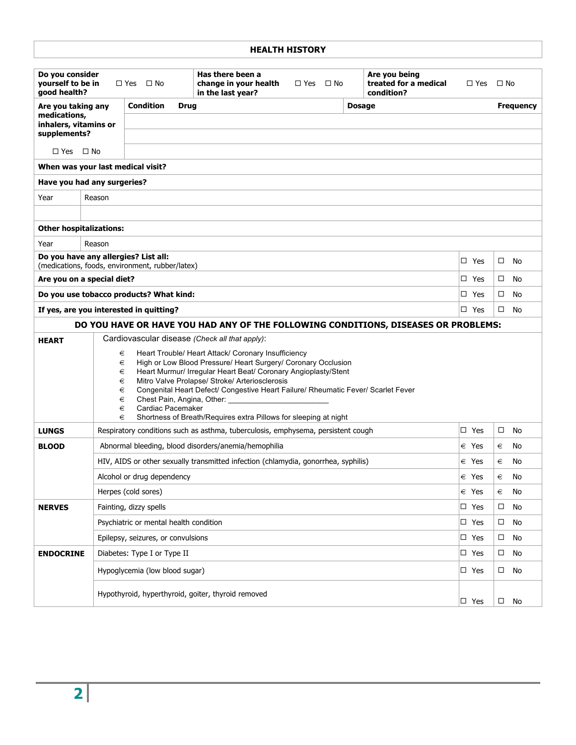| <b>HEALTH HISTORY</b>                                                              |                                                                                                                                                                                                                                                                                                                                                                                                                                                                                                                                                                |                                                                         |                                                                                  |                      |                                                      |                |           |  |
|------------------------------------------------------------------------------------|----------------------------------------------------------------------------------------------------------------------------------------------------------------------------------------------------------------------------------------------------------------------------------------------------------------------------------------------------------------------------------------------------------------------------------------------------------------------------------------------------------------------------------------------------------------|-------------------------------------------------------------------------|----------------------------------------------------------------------------------|----------------------|------------------------------------------------------|----------------|-----------|--|
| Do you consider<br>yourself to be in<br>good health?                               |                                                                                                                                                                                                                                                                                                                                                                                                                                                                                                                                                                | $\Box$ Yes<br>$\Box$ No                                                 | Has there been a<br>change in your health<br>in the last year?                   | $\Box$ Yes $\Box$ No | Are you being<br>treated for a medical<br>condition? | $\Box$ Yes     | $\Box$ No |  |
|                                                                                    | <b>Condition</b><br><b>Drug</b><br><b>Dosage</b><br>Are you taking any                                                                                                                                                                                                                                                                                                                                                                                                                                                                                         |                                                                         |                                                                                  |                      | <b>Frequency</b>                                     |                |           |  |
| medications,<br>inhalers, vitamins or                                              |                                                                                                                                                                                                                                                                                                                                                                                                                                                                                                                                                                |                                                                         |                                                                                  |                      |                                                      |                |           |  |
| supplements?                                                                       |                                                                                                                                                                                                                                                                                                                                                                                                                                                                                                                                                                |                                                                         |                                                                                  |                      |                                                      |                |           |  |
| $\Box$ Yes                                                                         | $\square$ No                                                                                                                                                                                                                                                                                                                                                                                                                                                                                                                                                   |                                                                         |                                                                                  |                      |                                                      |                |           |  |
| When was your last medical visit?                                                  |                                                                                                                                                                                                                                                                                                                                                                                                                                                                                                                                                                |                                                                         |                                                                                  |                      |                                                      |                |           |  |
| Have you had any surgeries?                                                        |                                                                                                                                                                                                                                                                                                                                                                                                                                                                                                                                                                |                                                                         |                                                                                  |                      |                                                      |                |           |  |
| Year                                                                               | Reason                                                                                                                                                                                                                                                                                                                                                                                                                                                                                                                                                         |                                                                         |                                                                                  |                      |                                                      |                |           |  |
|                                                                                    |                                                                                                                                                                                                                                                                                                                                                                                                                                                                                                                                                                |                                                                         |                                                                                  |                      |                                                      |                |           |  |
| <b>Other hospitalizations:</b>                                                     |                                                                                                                                                                                                                                                                                                                                                                                                                                                                                                                                                                |                                                                         |                                                                                  |                      |                                                      |                |           |  |
| Year                                                                               | Reason                                                                                                                                                                                                                                                                                                                                                                                                                                                                                                                                                         |                                                                         |                                                                                  |                      |                                                      |                |           |  |
| Do you have any allergies? List all:                                               |                                                                                                                                                                                                                                                                                                                                                                                                                                                                                                                                                                |                                                                         |                                                                                  |                      |                                                      | □ Yes          | □<br>No   |  |
|                                                                                    |                                                                                                                                                                                                                                                                                                                                                                                                                                                                                                                                                                | (medications, foods, environment, rubber/latex)                         |                                                                                  |                      |                                                      |                |           |  |
| Are you on a special diet?                                                         |                                                                                                                                                                                                                                                                                                                                                                                                                                                                                                                                                                |                                                                         |                                                                                  |                      |                                                      | $\square$ Yes  | □<br>No   |  |
|                                                                                    | Do you use tobacco products? What kind:<br>□ Yes<br>No<br>□                                                                                                                                                                                                                                                                                                                                                                                                                                                                                                    |                                                                         |                                                                                  |                      |                                                      |                |           |  |
|                                                                                    |                                                                                                                                                                                                                                                                                                                                                                                                                                                                                                                                                                | If yes, are you interested in quitting?                                 |                                                                                  |                      |                                                      | □ Yes          | No<br>□   |  |
| DO YOU HAVE OR HAVE YOU HAD ANY OF THE FOLLOWING CONDITIONS, DISEASES OR PROBLEMS: |                                                                                                                                                                                                                                                                                                                                                                                                                                                                                                                                                                |                                                                         |                                                                                  |                      |                                                      |                |           |  |
|                                                                                    | Cardiovascular disease (Check all that apply):<br><b>HEART</b><br>Heart Trouble/ Heart Attack/ Coronary Insufficiency<br>€<br>High or Low Blood Pressure/ Heart Surgery/ Coronary Occlusion<br>€<br>Heart Murmur/ Irregular Heart Beat/ Coronary Angioplasty/Stent<br>€<br>Mitro Valve Prolapse/ Stroke/ Arteriosclerosis<br>€<br>Congenital Heart Defect/ Congestive Heart Failure/ Rheumatic Fever/ Scarlet Fever<br>€<br>€<br>Chest Pain, Angina, Other:<br>Cardiac Pacemaker<br>€<br>€<br>Shortness of Breath/Requires extra Pillows for sleeping at night |                                                                         |                                                                                  |                      |                                                      |                |           |  |
| <b>LUNGS</b>                                                                       |                                                                                                                                                                                                                                                                                                                                                                                                                                                                                                                                                                |                                                                         | Respiratory conditions such as asthma, tuberculosis, emphysema, persistent cough |                      |                                                      | □ Yes          | □<br>No   |  |
| <b>BLOOD</b>                                                                       |                                                                                                                                                                                                                                                                                                                                                                                                                                                                                                                                                                |                                                                         | Abnormal bleeding, blood disorders/anemia/hemophilia                             |                      |                                                      | $\in$ Yes      | No<br>€   |  |
|                                                                                    | HIV, AIDS or other sexually transmitted infection (chlamydia, gonorrhea, syphilis)                                                                                                                                                                                                                                                                                                                                                                                                                                                                             |                                                                         |                                                                                  |                      |                                                      | $\epsilon$ Yes | €<br>No   |  |
|                                                                                    | Alcohol or drug dependency<br>$\epsilon$ Yes<br>No<br>€                                                                                                                                                                                                                                                                                                                                                                                                                                                                                                        |                                                                         |                                                                                  |                      |                                                      |                |           |  |
|                                                                                    | Herpes (cold sores)<br>€ Yes<br>No<br>€                                                                                                                                                                                                                                                                                                                                                                                                                                                                                                                        |                                                                         |                                                                                  |                      |                                                      |                |           |  |
| <b>NERVES</b>                                                                      | Fainting, dizzy spells<br>$\square$ Yes<br>No<br>□                                                                                                                                                                                                                                                                                                                                                                                                                                                                                                             |                                                                         |                                                                                  |                      |                                                      |                |           |  |
|                                                                                    |                                                                                                                                                                                                                                                                                                                                                                                                                                                                                                                                                                | Psychiatric or mental health condition<br>$\square$ Yes<br>$\Box$<br>No |                                                                                  |                      |                                                      |                |           |  |
|                                                                                    | $\square$ Yes<br>□<br>No<br>Epilepsy, seizures, or convulsions                                                                                                                                                                                                                                                                                                                                                                                                                                                                                                 |                                                                         |                                                                                  |                      |                                                      |                |           |  |
| <b>ENDOCRINE</b>                                                                   | Diabetes: Type I or Type II<br>$\square$ Yes<br>$\Box$<br>No                                                                                                                                                                                                                                                                                                                                                                                                                                                                                                   |                                                                         |                                                                                  |                      |                                                      |                |           |  |
|                                                                                    | Hypoglycemia (low blood sugar)<br>$\square$ Yes<br>No<br>$\Box$                                                                                                                                                                                                                                                                                                                                                                                                                                                                                                |                                                                         |                                                                                  |                      |                                                      |                |           |  |
|                                                                                    | Hypothyroid, hyperthyroid, goiter, thyroid removed<br>$\square$ Yes<br>$\Box$<br>No                                                                                                                                                                                                                                                                                                                                                                                                                                                                            |                                                                         |                                                                                  |                      |                                                      |                |           |  |

# **2**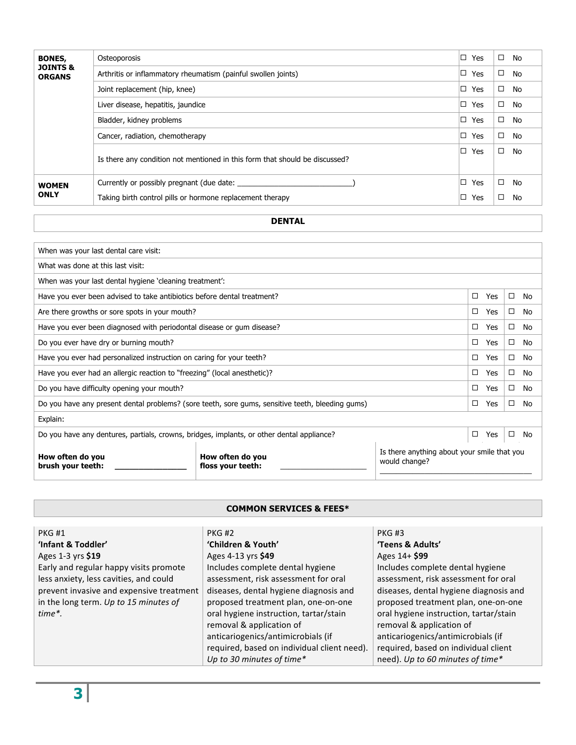| <b>BONES,</b>                        | Osteoporosis                                                                | □ | Yes | $\Box$ | No |
|--------------------------------------|-----------------------------------------------------------------------------|---|-----|--------|----|
| <b>JOINTS &amp;</b><br><b>ORGANS</b> | Arthritis or inflammatory rheumatism (painful swollen joints)               | □ | Yes | $\Box$ | No |
|                                      | Joint replacement (hip, knee)                                               | □ | Yes | $\Box$ | No |
|                                      | Liver disease, hepatitis, jaundice                                          | □ | Yes | □      | No |
|                                      | Bladder, kidney problems                                                    | □ | Yes | $\Box$ | No |
|                                      | Cancer, radiation, chemotherapy                                             | □ | Yes | $\Box$ | No |
|                                      | Is there any condition not mentioned in this form that should be discussed? | □ | Yes | □      | No |
| <b>WOMEN</b>                         | Currently or possibly pregnant (due date:                                   | □ | Yes | □      | No |
| <b>ONLY</b>                          | Taking birth control pills or hormone replacement therapy                   | □ | Yes | □      | No |

# **DENTAL**

| When was your last dental care visit:                                                            |                                       |                                                              |          |        |    |
|--------------------------------------------------------------------------------------------------|---------------------------------------|--------------------------------------------------------------|----------|--------|----|
| What was done at this last visit:                                                                |                                       |                                                              |          |        |    |
| When was your last dental hygiene 'cleaning treatment':                                          |                                       |                                                              |          |        |    |
| Have you ever been advised to take antibiotics before dental treatment?                          |                                       |                                                              | □<br>Yes | $\Box$ | No |
| Are there growths or sore spots in your mouth?                                                   |                                       |                                                              | □<br>Yes | □      | No |
| Have you ever been diagnosed with periodontal disease or gum disease?                            |                                       |                                                              | □<br>Yes | □      | No |
| Do you ever have dry or burning mouth?                                                           |                                       |                                                              |          |        | No |
| Have you ever had personalized instruction on caring for your teeth?                             |                                       |                                                              |          | □      | No |
| Have you ever had an allergic reaction to "freezing" (local anesthetic)?                         |                                       |                                                              |          |        | No |
| Do you have difficulty opening your mouth?                                                       |                                       |                                                              |          |        | No |
| Do you have any present dental problems? (sore teeth, sore gums, sensitive teeth, bleeding gums) |                                       |                                                              |          |        | No |
| Explain:                                                                                         |                                       |                                                              |          |        |    |
| Do you have any dentures, partials, crowns, bridges, implants, or other dental appliance?        |                                       |                                                              |          | $\Box$ | No |
| How often do you<br>brush your teeth:                                                            | How often do you<br>floss your teeth: | Is there anything about your smile that you<br>would change? |          |        |    |

# **COMMON SERVICES & FEES\***

| <b>PKG#1</b>                             | <b>PKG #2</b>                               | <b>PKG#3</b>                           |
|------------------------------------------|---------------------------------------------|----------------------------------------|
| 'Infant & Toddler'                       | 'Children & Youth'                          | 'Teens & Adults'                       |
| Ages 1-3 yrs \$19                        | Ages 4-13 yrs \$49                          | Ages 14+ \$99                          |
| Early and regular happy visits promote   | Includes complete dental hygiene            | Includes complete dental hygiene       |
| less anxiety, less cavities, and could   | assessment, risk assessment for oral        | assessment, risk assessment for oral   |
| prevent invasive and expensive treatment | diseases, dental hygiene diagnosis and      | diseases, dental hygiene diagnosis and |
| in the long term. Up to 15 minutes of    | proposed treatment plan, one-on-one         | proposed treatment plan, one-on-one    |
| $time$ <sup>*</sup> .                    | oral hygiene instruction, tartar/stain      | oral hygiene instruction, tartar/stain |
|                                          | removal & application of                    | removal & application of               |
|                                          | anticariogenics/antimicrobials (if          | anticariogenics/antimicrobials (if     |
|                                          | required, based on individual client need). | required, based on individual client   |
|                                          | Up to 30 minutes of time*                   | need). Up to 60 minutes of time*       |